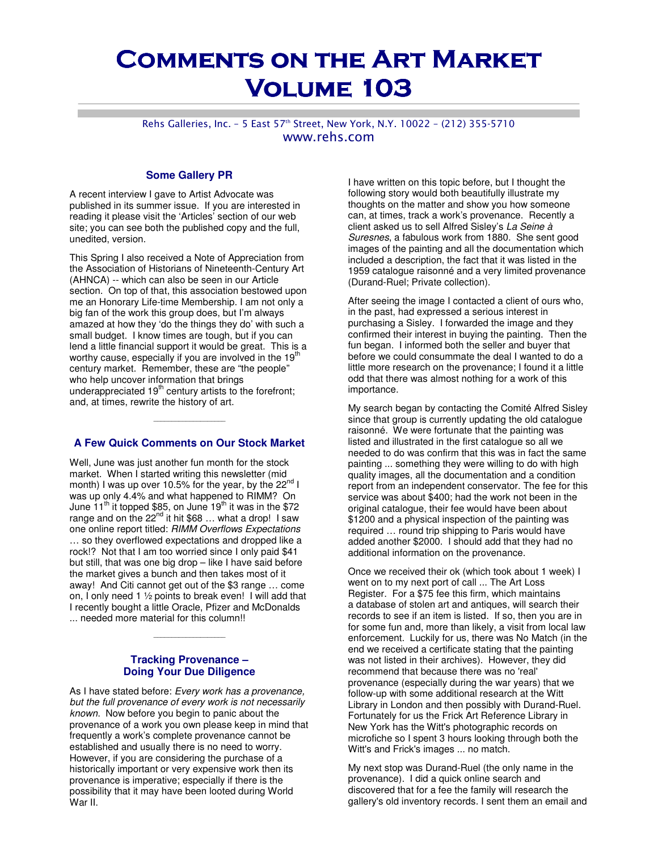# **COMMENTS ON THE ART MARKET VOLUME 103**

Rehs Galleries, Inc. - 5 East 57<sup>th</sup> Street, New York, N.Y. 10022 - (212) 355-5710 www.rehs.com

#### **Some Gallery PR**

A recent interview I gave to Artist Advocate was published in its summer issue. If you are interested in reading it please visit the 'Articles' section of our web site; you can see both the published copy and the full, unedited, version.

This Spring I also received a Note of Appreciation from the Association of Historians of Nineteenth-Century Art (AHNCA) -- which can also be seen in our Article section. On top of that, this association bestowed upon me an Honorary Life-time Membership. I am not only a big fan of the work this group does, but I'm always amazed at how they 'do the things they do' with such a small budget. I know times are tough, but if you can lend a little financial support it would be great. This is a worthy cause, especially if you are involved in the  $19<sup>th</sup>$ century market. Remember, these are "the people" who help uncover information that brings underappreciated 19<sup>th</sup> century artists to the forefront; and, at times, rewrite the history of art.

## **A Few Quick Comments on Our Stock Market**

\_\_\_\_\_\_\_\_\_\_\_\_\_\_\_\_\_\_\_\_

Well, June was just another fun month for the stock market. When I started writing this newsletter (mid month) I was up over 10.5% for the year, by the 22<sup>nd</sup> I was up only 4.4% and what happened to RIMM? On June  $11^{th}$  it topped \$85, on June  $19^{th}$  it was in the \$72 range and on the  $22^{nd}$  it hit \$68 ... what a drop! I saw one online report titled: RIMM Overflows Expectations … so they overflowed expectations and dropped like a rock!? Not that I am too worried since I only paid \$41 but still, that was one big drop - like I have said before the market gives a bunch and then takes most of it away! And Citi cannot get out of the \$3 range … come on, I only need 1 ½ points to break even! I will add that I recently bought a little Oracle, Pfizer and McDonalds ... needed more material for this column!!

#### **Tracking Provenance – Doing Your Due Diligence**

As I have stated before: Every work has a provenance, but the full provenance of every work is not necessarily known. Now before you begin to panic about the provenance of a work you own please keep in mind that frequently a work's complete provenance cannot be established and usually there is no need to worry. However, if you are considering the purchase of a historically important or very expensive work then its provenance is imperative; especially if there is the possibility that it may have been looted during World War II.

I have written on this topic before, but I thought the following story would both beautifully illustrate my thoughts on the matter and show you how someone can, at times, track a work's provenance. Recently a client asked us to sell Alfred Sisley's La Seine à Suresnes, a fabulous work from 1880. She sent good images of the painting and all the documentation which included a description, the fact that it was listed in the 1959 catalogue raisonné and a very limited provenance (Durand-Ruel; Private collection).

After seeing the image I contacted a client of ours who, in the past, had expressed a serious interest in purchasing a Sisley. I forwarded the image and they confirmed their interest in buying the painting. Then the fun began. I informed both the seller and buyer that before we could consummate the deal I wanted to do a little more research on the provenance; I found it a little odd that there was almost nothing for a work of this importance.

My search began by contacting the Comité Alfred Sisley since that group is currently updating the old catalogue raisonné. We were fortunate that the painting was listed and illustrated in the first catalogue so all we needed to do was confirm that this was in fact the same painting ... something they were willing to do with high quality images, all the documentation and a condition report from an independent conservator. The fee for this service was about \$400; had the work not been in the original catalogue, their fee would have been about \$1200 and a physical inspection of the painting was required … round trip shipping to Paris would have added another \$2000. I should add that they had no additional information on the provenance.

Once we received their ok (which took about 1 week) I went on to my next port of call ... The Art Loss Register. For a \$75 fee this firm, which maintains a database of stolen art and antiques, will search their records to see if an item is listed. If so, then you are in for some fun and, more than likely, a visit from local law enforcement. Luckily for us, there was No Match (in the end we received a certificate stating that the painting was not listed in their archives). However, they did recommend that because there was no 'real' provenance (especially during the war years) that we follow-up with some additional research at the Witt Library in London and then possibly with Durand-Ruel. Fortunately for us the Frick Art Reference Library in New York has the Witt's photographic records on microfiche so I spent 3 hours looking through both the Witt's and Frick's images ... no match.

My next stop was Durand-Ruel (the only name in the provenance). I did a quick online search and discovered that for a fee the family will research the gallery's old inventory records. I sent them an email and